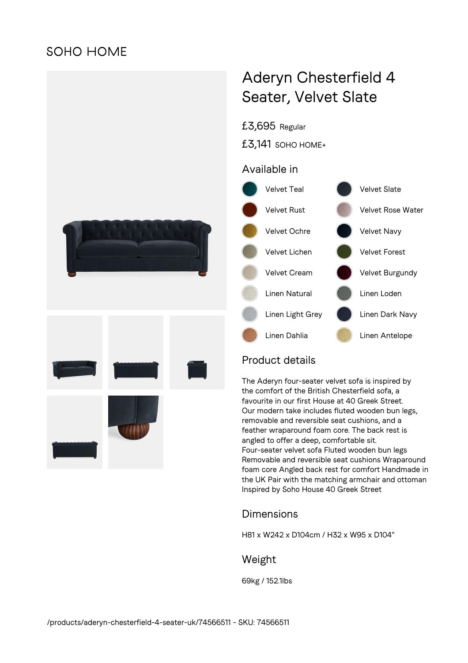# **SOHO HOME**



# Aderyn Chesterfield 4 Seater, Velvet Slate

£3,695 Regular

£3,141 SOHO HOME+

#### Available in



## Product details

The Aderyn four-seater velvet sofa is inspired by the comfort of the British Chesterfield sofa, a favourite in our first House at 40 Greek Street. Our modern take includes fluted wooden bun legs, removable and reversible seat cushions, and a feather wraparound foam core. The back rest is angled to offer a deep, comfortable sit. Four-seater velvet sofa Fluted wooden bun legs Removable and reversible seat cushions Wraparound foam core Angled back rest for comfort Handmade in the UK Pair with the matching armchair and ottoman Inspired by Soho House 40 Greek Street

## Dimensions

H81 x W242 x D104cm / H32 x W95 x D104"

#### Weight

69kg / 152.1lbs